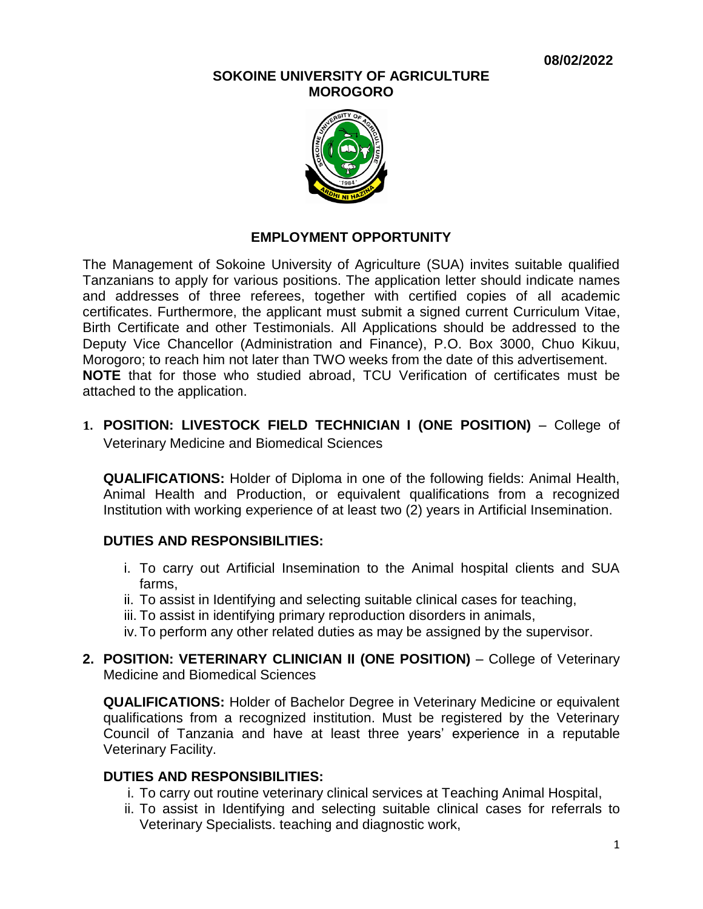#### **SOKOINE UNIVERSITY OF AGRICULTURE MOROGORO**



### **EMPLOYMENT OPPORTUNITY**

The Management of Sokoine University of Agriculture (SUA) invites suitable qualified Tanzanians to apply for various positions. The application letter should indicate names and addresses of three referees, together with certified copies of all academic certificates. Furthermore, the applicant must submit a signed current Curriculum Vitae, Birth Certificate and other Testimonials. All Applications should be addressed to the Deputy Vice Chancellor (Administration and Finance), P.O. Box 3000, Chuo Kikuu, Morogoro; to reach him not later than TWO weeks from the date of this advertisement. **NOTE** that for those who studied abroad, TCU Verification of certificates must be attached to the application.

# **1. POSITION: LIVESTOCK FIELD TECHNICIAN I (ONE POSITION)** – College of Veterinary Medicine and Biomedical Sciences

**QUALIFICATIONS:** Holder of Diploma in one of the following fields: Animal Health, Animal Health and Production, or equivalent qualifications from a recognized Institution with working experience of at least two (2) years in Artificial Insemination.

### **DUTIES AND RESPONSIBILITIES:**

- i. To carry out Artificial Insemination to the Animal hospital clients and SUA farms,
- ii. To assist in Identifying and selecting suitable clinical cases for teaching,
- iii. To assist in identifying primary reproduction disorders in animals,
- iv.To perform any other related duties as may be assigned by the supervisor.
- **2. POSITION: VETERINARY CLINICIAN II (ONE POSITION)** College of Veterinary Medicine and Biomedical Sciences

**QUALIFICATIONS:** Holder of Bachelor Degree in Veterinary Medicine or equivalent qualifications from a recognized institution. Must be registered by the Veterinary Council of Tanzania and have at least three years' experience in a reputable Veterinary Facility.

### **DUTIES AND RESPONSIBILITIES:**

- i. To carry out routine veterinary clinical services at Teaching Animal Hospital,
- ii. To assist in Identifying and selecting suitable clinical cases for referrals to Veterinary Specialists. teaching and diagnostic work,